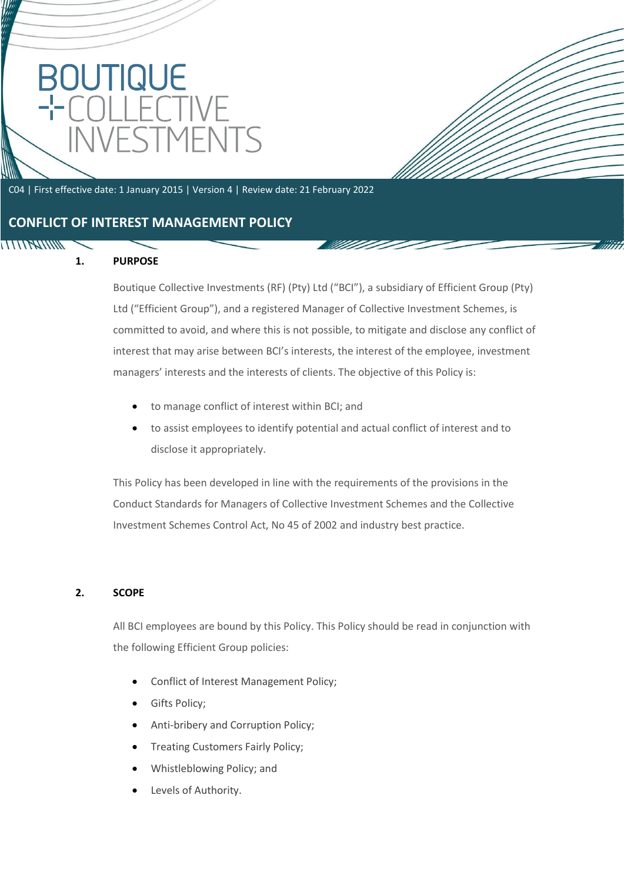# OUTIQUE<br>COLLECT NVESTMENT

C04 | First effective date: 1 January 2015 | Version 4 | Review date: 21 February 2022

## **CONFLICT OF INTEREST MANAGEMENT POLICY**

## **1. PURPOSE**

**TITITYATININ** 

Boutique Collective Investments (RF) (Pty) Ltd ("BCI"), a subsidiary of Efficient Group (Pty) Ltd ("Efficient Group"), and a registered Manager of Collective Investment Schemes, is committed to avoid, and where this is not possible, to mitigate and disclose any conflict of interest that may arise between BCI's interests, the interest of the employee, investment managers' interests and the interests of clients. The objective of this Policy is:

V MUD

- to manage conflict of interest within BCI; and
- to assist employees to identify potential and actual conflict of interest and to disclose it appropriately.

This Policy has been developed in line with the requirements of the provisions in the Conduct Standards for Managers of Collective Investment Schemes and the Collective Investment Schemes Control Act, No 45 of 2002 and industry best practice.

#### **2. SCOPE**

All BCI employees are bound by this Policy. This Policy should be read in conjunction with the following Efficient Group policies:

- Conflict of Interest Management Policy;
- Gifts Policy;
- Anti-bribery and Corruption Policy;
- Treating Customers Fairly Policy;
- Whistleblowing Policy; and
- Levels of Authority.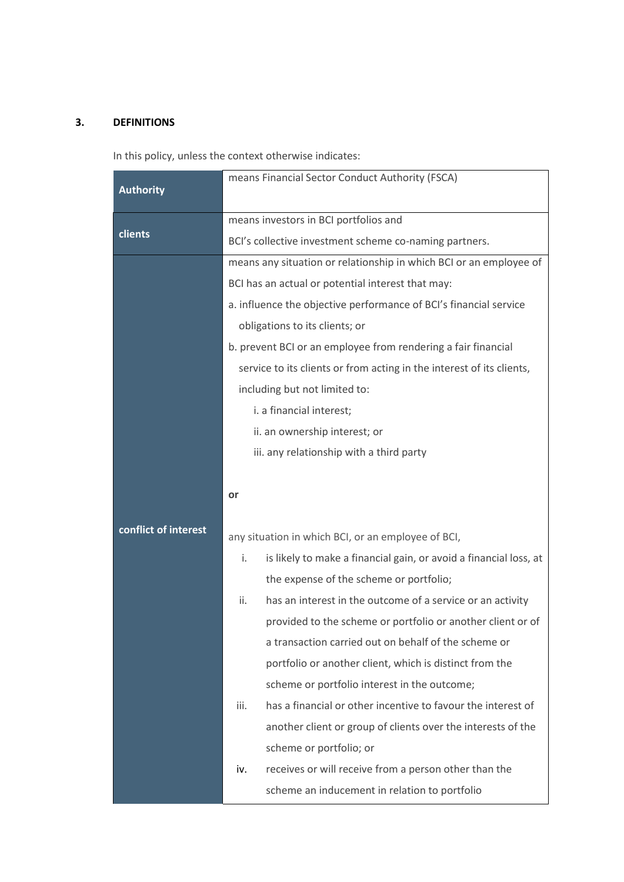#### **3. DEFINITIONS**

In this policy, unless the context otherwise indicates:

|                      | means Financial Sector Conduct Authority (FSCA)                         |
|----------------------|-------------------------------------------------------------------------|
| <b>Authority</b>     |                                                                         |
| clients              | means investors in BCI portfolios and                                   |
|                      | BCI's collective investment scheme co-naming partners.                  |
|                      | means any situation or relationship in which BCI or an employee of      |
|                      | BCI has an actual or potential interest that may:                       |
|                      | a. influence the objective performance of BCI's financial service       |
|                      | obligations to its clients; or                                          |
|                      | b. prevent BCI or an employee from rendering a fair financial           |
|                      | service to its clients or from acting in the interest of its clients,   |
|                      | including but not limited to:                                           |
|                      | i. a financial interest;                                                |
|                      | ii. an ownership interest; or                                           |
|                      | iii. any relationship with a third party                                |
|                      |                                                                         |
|                      | or                                                                      |
|                      |                                                                         |
| conflict of interest | any situation in which BCI, or an employee of BCI,                      |
|                      | i.<br>is likely to make a financial gain, or avoid a financial loss, at |
|                      | the expense of the scheme or portfolio;                                 |
|                      | has an interest in the outcome of a service or an activity<br>ii.       |
|                      | provided to the scheme or portfolio or another client or of             |
|                      | a transaction carried out on behalf of the scheme or                    |
|                      | portfolio or another client, which is distinct from the                 |
|                      | scheme or portfolio interest in the outcome;                            |
|                      | has a financial or other incentive to favour the interest of<br>iii.    |
|                      | another client or group of clients over the interests of the            |
|                      | scheme or portfolio; or                                                 |
|                      | receives or will receive from a person other than the<br>iv.            |
|                      | scheme an inducement in relation to portfolio                           |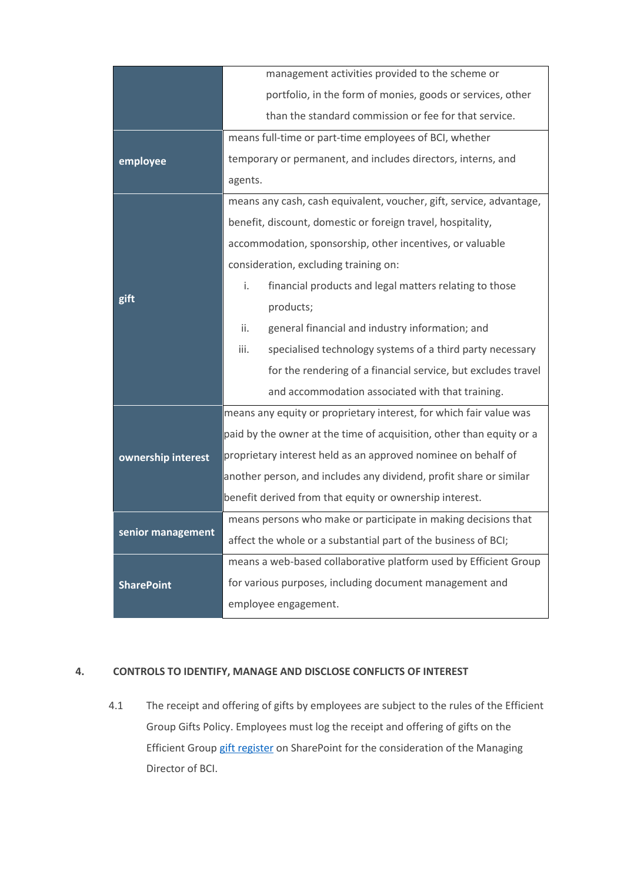|                    | management activities provided to the scheme or                      |
|--------------------|----------------------------------------------------------------------|
|                    | portfolio, in the form of monies, goods or services, other           |
|                    | than the standard commission or fee for that service.                |
| employee           | means full-time or part-time employees of BCI, whether               |
|                    | temporary or permanent, and includes directors, interns, and         |
|                    | agents.                                                              |
| gift               | means any cash, cash equivalent, voucher, gift, service, advantage,  |
|                    | benefit, discount, domestic or foreign travel, hospitality,          |
|                    | accommodation, sponsorship, other incentives, or valuable            |
|                    | consideration, excluding training on:                                |
|                    | i.<br>financial products and legal matters relating to those         |
|                    | products;                                                            |
|                    | general financial and industry information; and<br>ii.               |
|                    | specialised technology systems of a third party necessary<br>iii.    |
|                    | for the rendering of a financial service, but excludes travel        |
|                    | and accommodation associated with that training.                     |
| ownership interest | means any equity or proprietary interest, for which fair value was   |
|                    | paid by the owner at the time of acquisition, other than equity or a |
|                    | proprietary interest held as an approved nominee on behalf of        |
|                    | another person, and includes any dividend, profit share or similar   |
|                    | benefit derived from that equity or ownership interest.              |
| senior management  | means persons who make or participate in making decisions that       |
|                    | affect the whole or a substantial part of the business of BCI;       |
| <b>SharePoint</b>  | means a web-based collaborative platform used by Efficient Group     |
|                    | for various purposes, including document management and              |
|                    | employee engagement.                                                 |

#### **4. CONTROLS TO IDENTIFY, MANAGE AND DISCLOSE CONFLICTS OF INTEREST**

4.1 The receipt and offering of gifts by employees are subject to the rules of the Efficient Group Gifts Policy. Employees must log the receipt and offering of gifts on the Efficient Grou[p gift register](https://efg.sharepoint.com/sites/efficient/SitePages/Gift-App.aspx) on SharePoint for the consideration of the Managing Director of BCI.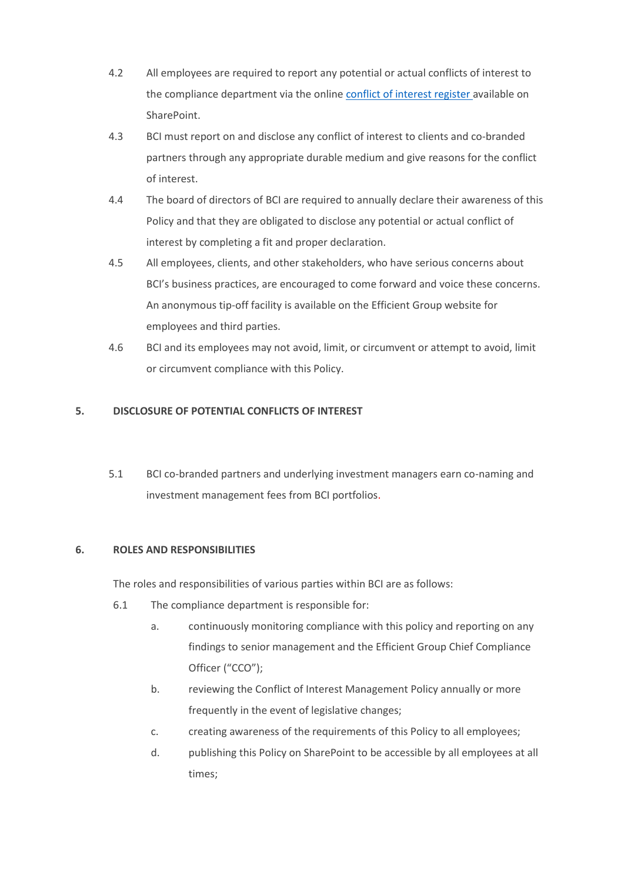- 4.2 All employees are required to report any potential or actual conflicts of interest to the compliance department via the online [conflict of interest register](https://efg.sharepoint.com/sites/efficient/Lists/ConflictofInterestRegister/NewForm.aspx?Source=https%3A%2F%2Fefg%2Esharepoint%2Ecom%2Fsites%2Fefficient%2FLists%2FConflictofInterestRegister%2FAllItems%2Easpx&ContentTypeId=0x0100BF30E792884AE04E84222ED6DF9DC71200DF8C589DCE55494F8E49236870123C70&RootFolder=%2Fsites%2Fefficient%2FLists%2FConflictofInterestRegister) available on SharePoint.
- 4.3 BCI must report on and disclose any conflict of interest to clients and co-branded partners through any appropriate durable medium and give reasons for the conflict of interest.
- 4.4 The board of directors of BCI are required to annually declare their awareness of this Policy and that they are obligated to disclose any potential or actual conflict of interest by completing a fit and proper declaration.
- 4.5 All employees, clients, and other stakeholders, who have serious concerns about BCI's business practices, are encouraged to come forward and voice these concerns. An anonymous tip-off facility is available on the Efficient Group website for employees and third parties.
- 4.6 BCI and its employees may not avoid, limit, or circumvent or attempt to avoid, limit or circumvent compliance with this Policy.

#### **5. DISCLOSURE OF POTENTIAL CONFLICTS OF INTEREST**

5.1 BCI co-branded partners and underlying investment managers earn co-naming and investment management fees from BCI portfolios.

#### **6. ROLES AND RESPONSIBILITIES**

The roles and responsibilities of various parties within BCI are as follows:

- 6.1 The compliance department is responsible for:
	- a. continuously monitoring compliance with this policy and reporting on any findings to senior management and the Efficient Group Chief Compliance Officer ("CCO");
	- b. reviewing the Conflict of Interest Management Policy annually or more frequently in the event of legislative changes;
	- c. creating awareness of the requirements of this Policy to all employees;
	- d. publishing this Policy on SharePoint to be accessible by all employees at all times;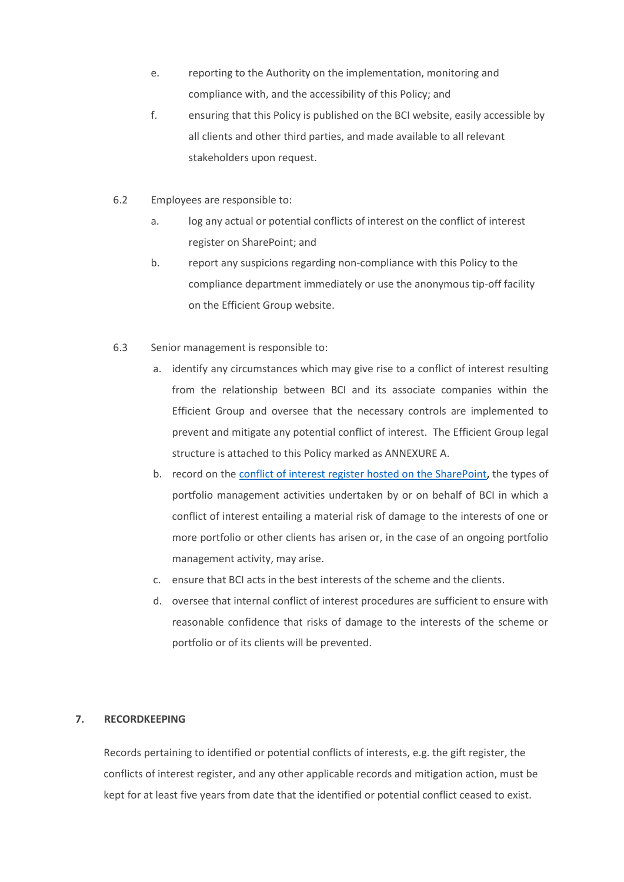- e. reporting to the Authority on the implementation, monitoring and compliance with, and the accessibility of this Policy; and
- f. ensuring that this Policy is published on the BCI website, easily accessible by all clients and other third parties, and made available to all relevant stakeholders upon request.
- 6.2 Employees are responsible to:
	- a. log any actual or potential conflicts of interest on the conflict of interest register on SharePoint; and
	- b. report any suspicions regarding non-compliance with this Policy to the compliance department immediately or use the anonymous tip-off facility on the Efficient Group website.
- 6.3 Senior management is responsible to:
	- a. identify any circumstances which may give rise to a conflict of interest resulting from the relationship between BCI and its associate companies within the Efficient Group and oversee that the necessary controls are implemented to prevent and mitigate any potential conflict of interest. The Efficient Group legal structure is attached to this Policy marked as ANNEXURE A.
	- b. record on the [conflict of interest register](https://efg.sharepoint.com/sites/efficient/Lists/ConflictofInterestRegister/NewForm.aspx?Source=https%3A%2F%2Fefg%2Esharepoint%2Ecom%2Fsites%2Fefficient%2FLists%2FConflictofInterestRegister%2FAllItems%2Easpx&ContentTypeId=0x0100BF30E792884AE04E84222ED6DF9DC71200DF8C589DCE55494F8E49236870123C70&RootFolder=%2Fsites%2Fefficient%2FLists%2FConflictofInterestRegister) hosted on the SharePoint, the types of portfolio management activities undertaken by or on behalf of BCI in which a conflict of interest entailing a material risk of damage to the interests of one or more portfolio or other clients has arisen or, in the case of an ongoing portfolio management activity, may arise.
	- c. ensure that BCI acts in the best interests of the scheme and the clients.
	- d. oversee that internal conflict of interest procedures are sufficient to ensure with reasonable confidence that risks of damage to the interests of the scheme or portfolio or of its clients will be prevented.

#### **7. RECORDKEEPING**

Records pertaining to identified or potential conflicts of interests, e.g. the gift register, the conflicts of interest register, and any other applicable records and mitigation action, must be kept for at least five years from date that the identified or potential conflict ceased to exist.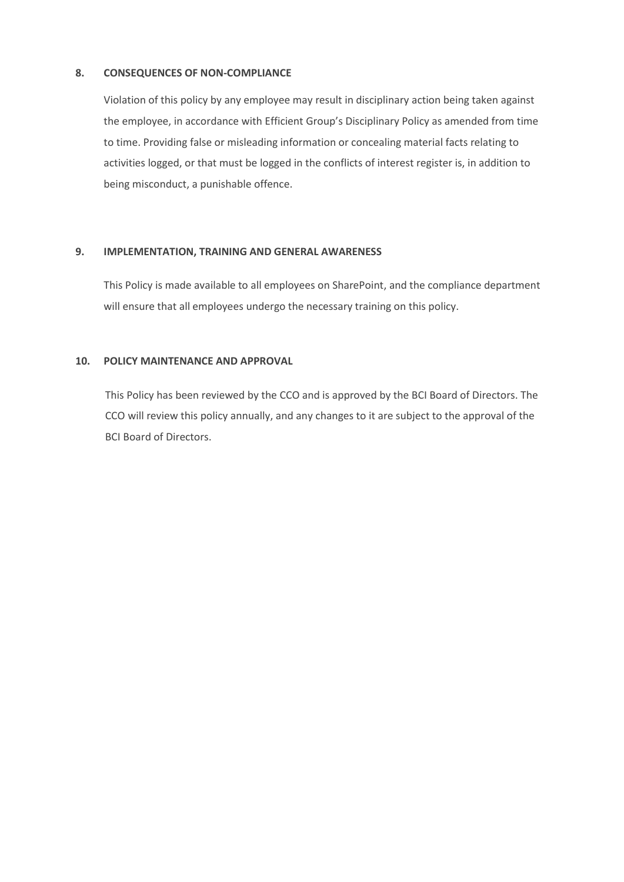#### **8. CONSEQUENCES OF NON-COMPLIANCE**

Violation of this policy by any employee may result in disciplinary action being taken against the employee, in accordance with Efficient Group's Disciplinary Policy as amended from time to time. Providing false or misleading information or concealing material facts relating to activities logged, or that must be logged in the conflicts of interest register is, in addition to being misconduct, a punishable offence.

#### **9. IMPLEMENTATION, TRAINING AND GENERAL AWARENESS**

This Policy is made available to all employees on SharePoint, and the compliance department will ensure that all employees undergo the necessary training on this policy.

#### **10. POLICY MAINTENANCE AND APPROVAL**

This Policy has been reviewed by the CCO and is approved by the BCI Board of Directors. The CCO will review this policy annually, and any changes to it are subject to the approval of the BCI Board of Directors.